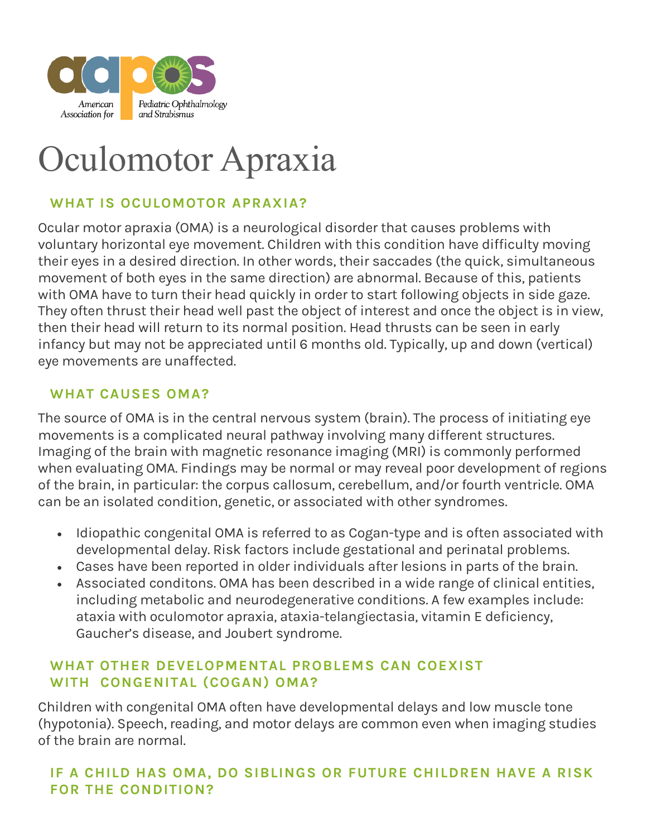

# Oculomotor Apraxia

## **WHAT IS OCULOMOTOR APRAXIA?**

Ocular motor apraxia (OMA) is a neurological disorder that causes problems with voluntary horizontal eye movement. Children with this condition have difficulty moving their eyes in a desired direction. In other words, their saccades (the quick, simultaneous movement of both eyes in the same direction) are abnormal. Because of this, patients with OMA have to turn their head quickly in order to start following objects in side gaze. They often thrust their head well past the object of interest and once the object is in view, then their head will return to its normal position. Head thrusts can be seen in early infancy but may not be appreciated until 6 months old. Typically, up and down (vertical) eye movements are unaffected.

#### **WHAT CAUSES OMA?**

The source of OMA is in the central nervous system (brain). The process of initiating eye movements is a complicated neural pathway involving many different structures. Imaging of the brain with magnetic resonance imaging (MRI) is commonly performed when evaluating OMA. Findings may be normal or may reveal poor development of regions of the brain, in particular: the corpus callosum, cerebellum, and/or fourth ventricle. OMA can be an isolated condition, genetic, or associated with other syndromes.

- Idiopathic congenital OMA is referred to as Cogan-type and is often associated with developmental delay. Risk factors include gestational and perinatal problems.
- Cases have been reported in older individuals after lesions in parts of the brain.
- Associated conditons. OMA has been described in a wide range of clinical entities, including metabolic and neurodegenerative conditions. A few examples include: ataxia with oculomotor apraxia, ataxia-telangiectasia, vitamin E deficiency, Gaucher's disease, and Joubert syndrome.

#### **WHAT OTHER DEVELOPMENTAL PROBLEMS CAN COEXIST WITH CONGENITAL (COGAN) OMA?**

Children with congenital OMA often have developmental delays and low muscle tone (hypotonia). Speech, reading, and motor delays are common even when imaging studies of the brain are normal.

### **IF A CHILD HAS OMA, DO SIBLINGS OR FUTURE CHILDREN HAVE A RISK FOR THE CONDITION?**